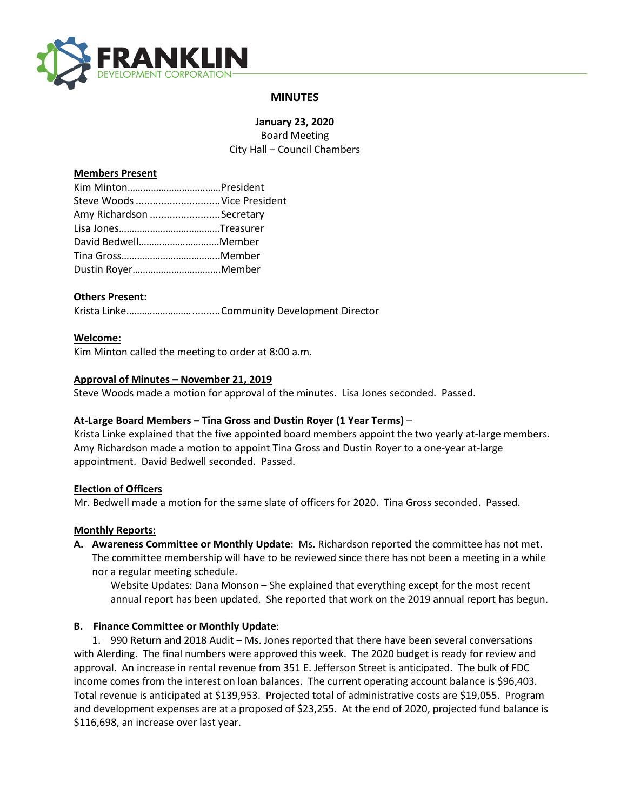

# **MINUTES**

**January 23, 2020** Board Meeting City Hall – Council Chambers

### **Members Present**

| Steve Woods Vice President |
|----------------------------|
| Amy Richardson Secretary   |
|                            |
| David BedwellMember        |
|                            |
| Dustin RoyerMember         |
|                            |

### **Others Present:**

Krista Linke.……………………..........Community Development Director

### **Welcome:**

Kim Minton called the meeting to order at 8:00 a.m.

### **Approval of Minutes – November 21, 2019**

Steve Woods made a motion for approval of the minutes. Lisa Jones seconded. Passed.

#### **At-Large Board Members – Tina Gross and Dustin Royer (1 Year Terms)** –

Krista Linke explained that the five appointed board members appoint the two yearly at-large members. Amy Richardson made a motion to appoint Tina Gross and Dustin Royer to a one-year at-large appointment. David Bedwell seconded. Passed.

#### **Election of Officers**

Mr. Bedwell made a motion for the same slate of officers for 2020. Tina Gross seconded. Passed.

#### **Monthly Reports:**

**A. Awareness Committee or Monthly Update**: Ms. Richardson reported the committee has not met. The committee membership will have to be reviewed since there has not been a meeting in a while nor a regular meeting schedule.

Website Updates: Dana Monson – She explained that everything except for the most recent annual report has been updated. She reported that work on the 2019 annual report has begun.

## **B. Finance Committee or Monthly Update**:

1. 990 Return and 2018 Audit – Ms. Jones reported that there have been several conversations with Alerding. The final numbers were approved this week. The 2020 budget is ready for review and approval. An increase in rental revenue from 351 E. Jefferson Street is anticipated. The bulk of FDC income comes from the interest on loan balances. The current operating account balance is \$96,403. Total revenue is anticipated at \$139,953. Projected total of administrative costs are \$19,055. Program and development expenses are at a proposed of \$23,255. At the end of 2020, projected fund balance is \$116,698, an increase over last year.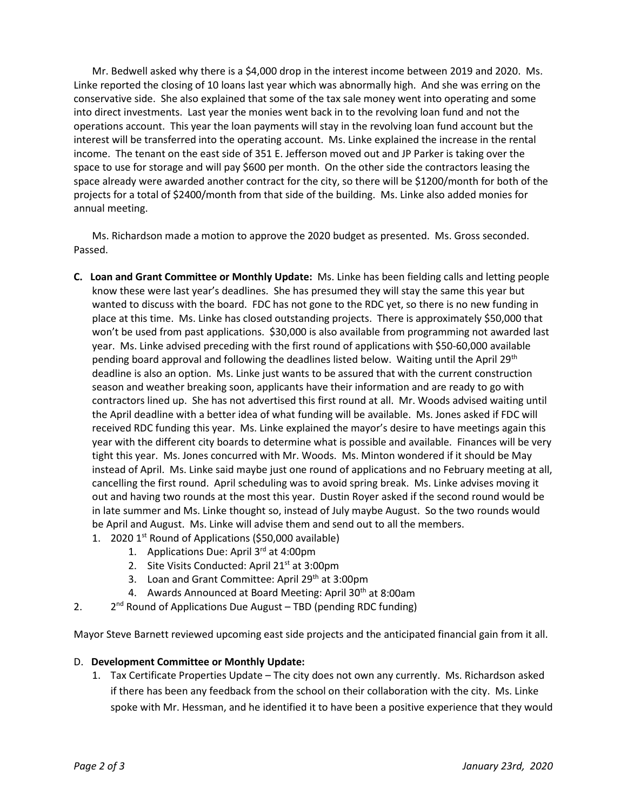Mr. Bedwell asked why there is a \$4,000 drop in the interest income between 2019 and 2020. Ms. Linke reported the closing of 10 loans last year which was abnormally high. And she was erring on the conservative side. She also explained that some of the tax sale money went into operating and some into direct investments. Last year the monies went back in to the revolving loan fund and not the operations account. This year the loan payments will stay in the revolving loan fund account but the interest will be transferred into the operating account. Ms. Linke explained the increase in the rental income. The tenant on the east side of 351 E. Jefferson moved out and JP Parker is taking over the space to use for storage and will pay \$600 per month. On the other side the contractors leasing the space already were awarded another contract for the city, so there will be \$1200/month for both of the projects for a total of \$2400/month from that side of the building. Ms. Linke also added monies for annual meeting.

Ms. Richardson made a motion to approve the 2020 budget as presented. Ms. Gross seconded. Passed.

- **C. Loan and Grant Committee or Monthly Update:** Ms. Linke has been fielding calls and letting people know these were last year's deadlines. She has presumed they will stay the same this year but wanted to discuss with the board. FDC has not gone to the RDC yet, so there is no new funding in place at this time.Ms. Linke has closed outstanding projects. There is approximately \$50,000 that won't be used from past applications. \$30,000 is also available from programming not awarded last year. Ms. Linke advised preceding with the first round of applications with \$50-60,000 available pending board approval and following the deadlines listed below. Waiting until the April 29<sup>th</sup> deadline is also an option. Ms. Linke just wants to be assured that with the current construction season and weather breaking soon, applicants have their information and are ready to go with contractors lined up. She has not advertised this first round at all. Mr. Woods advised waiting until the April deadline with a better idea of what funding will be available. Ms. Jones asked if FDC will received RDC funding this year. Ms. Linke explained the mayor's desire to have meetings again this year with the different city boards to determine what is possible and available. Finances will be very tight this year. Ms. Jones concurred with Mr. Woods. Ms. Minton wondered if it should be May instead of April. Ms. Linke said maybe just one round of applications and no February meeting at all, cancelling the first round. April scheduling was to avoid spring break. Ms. Linke advises moving it out and having two rounds at the most this year. Dustin Royer asked if the second round would be in late summer and Ms. Linke thought so, instead of July maybe August. So the two rounds would be April and August. Ms. Linke will advise them and send out to all the members.
	- 1. 2020 1<sup>st</sup> Round of Applications (\$50,000 available)
		- 1. Applications Due: April 3rd at 4:00pm
		- 2. Site Visits Conducted: April 21<sup>st</sup> at 3:00pm
		- 3. Loan and Grant Committee: April 29<sup>th</sup> at 3:00pm
		- 4. Awards Announced at Board Meeting: April 30<sup>th</sup> at 8:00am
- 2. 2<sup>nd</sup> Round of Applications Due August TBD (pending RDC funding)

Mayor Steve Barnett reviewed upcoming east side projects and the anticipated financial gain from it all.

## D. **Development Committee or Monthly Update:**

1. Tax Certificate Properties Update – The city does not own any currently. Ms. Richardson asked if there has been any feedback from the school on their collaboration with the city. Ms. Linke spoke with Mr. Hessman, and he identified it to have been a positive experience that they would